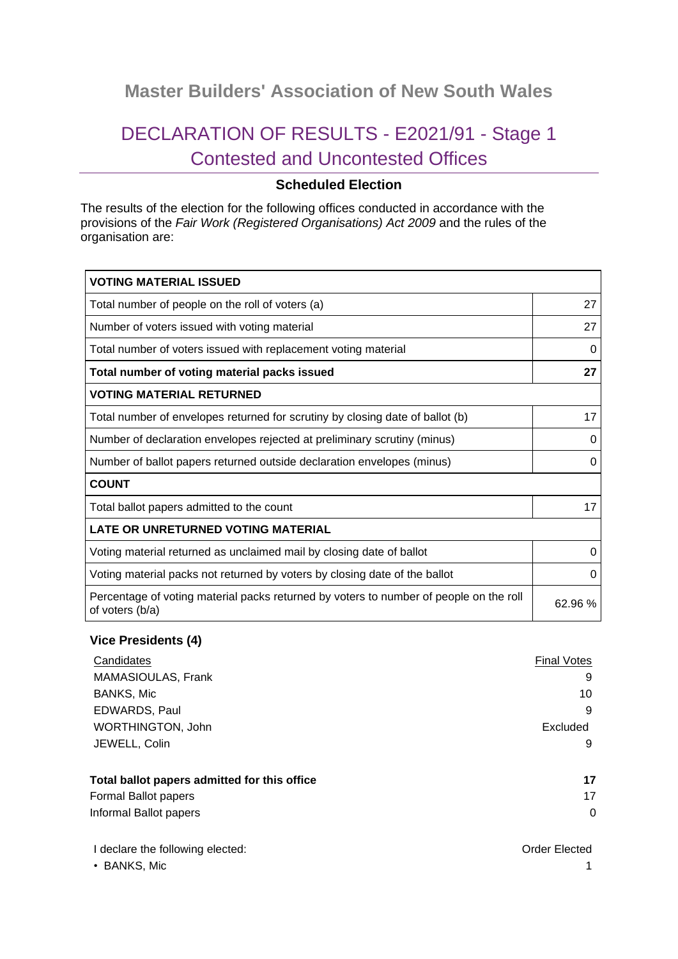## **Master Builders' Association of New South Wales**

# DECLARATION OF RESULTS - E2021/91 - Stage 1 Contested and Uncontested Offices

### **Scheduled Election**

The results of the election for the following offices conducted in accordance with the provisions of the *Fair Work (Registered Organisations) Act 2009* and the rules of the organisation are:

| <b>VOTING MATERIAL ISSUED</b>                                                                             |          |
|-----------------------------------------------------------------------------------------------------------|----------|
| Total number of people on the roll of voters (a)                                                          | 27       |
| Number of voters issued with voting material                                                              | 27       |
| Total number of voters issued with replacement voting material                                            | 0        |
| Total number of voting material packs issued                                                              | 27       |
| <b>VOTING MATERIAL RETURNED</b>                                                                           |          |
| Total number of envelopes returned for scrutiny by closing date of ballot (b)                             | 17       |
| Number of declaration envelopes rejected at preliminary scrutiny (minus)                                  | 0        |
| Number of ballot papers returned outside declaration envelopes (minus)                                    | 0        |
| <b>COUNT</b>                                                                                              |          |
| Total ballot papers admitted to the count                                                                 | 17       |
| LATE OR UNRETURNED VOTING MATERIAL                                                                        |          |
| Voting material returned as unclaimed mail by closing date of ballot                                      | 0        |
| Voting material packs not returned by voters by closing date of the ballot                                | $\Omega$ |
| Percentage of voting material packs returned by voters to number of people on the roll<br>of voters (b/a) | 62.96%   |

#### **Vice Presidents (4)**

| Candidates                                   | <b>Final Votes</b> |
|----------------------------------------------|--------------------|
| MAMASIOULAS, Frank                           | 9                  |
| <b>BANKS, Mic</b>                            | 10                 |
| EDWARDS, Paul                                | 9                  |
| <b>WORTHINGTON, John</b>                     | Excluded           |
| JEWELL, Colin                                | 9                  |
| Total ballot papers admitted for this office | 17                 |
| Formal Ballot papers                         | 17                 |
| Informal Ballot papers                       | 0                  |

| I declare the following elected: | Order Elected |
|----------------------------------|---------------|
| • BANKS, Mic                     |               |